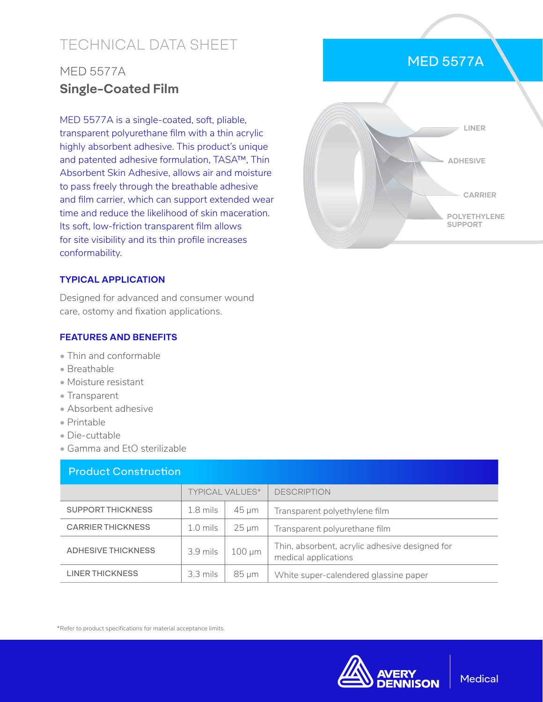# TECHNICAL DATA SHEET

## MED 5577A **Single-Coated Film**

MED 5577A is a single-coated, soft, pliable, transparent polyurethane film with a thin acrylic highly absorbent adhesive. This product's unique and patented adhesive formulation, TASA™, Thin Absorbent Skin Adhesive, allows air and moisture to pass freely through the breathable adhesive and film carrier, which can support extended wear time and reduce the likelihood of skin maceration. Its soft, low-friction transparent film allows for site visibility and its thin profile increases conformability.

## MED 5577A



#### **TYPICAL APPLICATION**

Designed for advanced and consumer wound care, ostomy and fixation applications.

#### **FEATURES AND BENEFITS**

- Thin and conformable
- Breathable
- Moisture resistant
- Transparent
- Absorbent adhesive
- Printable
- Die-cuttable
- Gamma and EtO sterilizable

| <b>Product Construction</b> |                        |             |                                                                        |  |  |  |
|-----------------------------|------------------------|-------------|------------------------------------------------------------------------|--|--|--|
|                             | <b>TYPICAL VALUES*</b> |             | <b>DESCRIPTION</b>                                                     |  |  |  |
| <b>SUPPORT THICKNESS</b>    | $1.8$ mils             | $45 \mu m$  | Transparent polyethylene film                                          |  |  |  |
| <b>CARRIER THICKNESS</b>    | $1.0 \,\mathrm{mils}$  | $25 \mu m$  | Transparent polyurethane film                                          |  |  |  |
| <b>ADHESIVE THICKNESS</b>   | $3.9$ mils             | $100 \mu m$ | Thin, absorbent, acrylic adhesive designed for<br>medical applications |  |  |  |
| <b>LINER THICKNESS</b>      | $3.3$ mils             | $85 \mu m$  | White super-calendered glassine paper                                  |  |  |  |

\*Refer to product specifications for material acceptance limits.